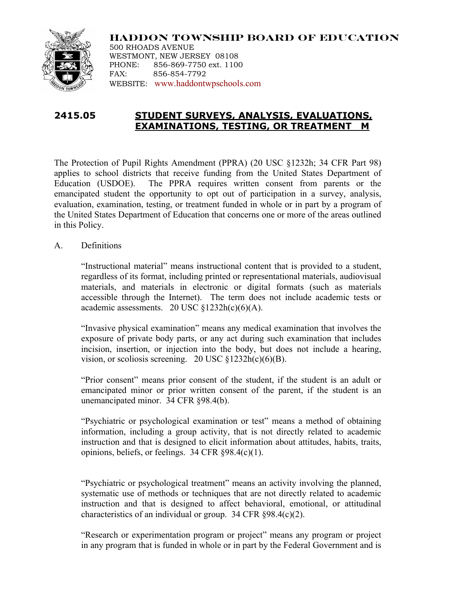

**HADDON TOWNSHIP BOARD OF EDUCATION** 500 RHOADS AVENUE WESTMONT, NEW JERSEY 08108 PHONE: 856-869-7750 ext. 1100 FAX: 856-854-7792 WEBSITE: www.haddontwpschools.com

## **2415.05 STUDENT SURVEYS, ANALYSIS, EVALUATIONS, EXAMINATIONS, TESTING, OR TREATMENT M**

The Protection of Pupil Rights Amendment (PPRA) (20 USC §1232h; 34 CFR Part 98) applies to school districts that receive funding from the United States Department of Education (USDOE). The PPRA requires written consent from parents or the emancipated student the opportunity to opt out of participation in a survey, analysis, evaluation, examination, testing, or treatment funded in whole or in part by a program of the United States Department of Education that concerns one or more of the areas outlined in this Policy.

A. Definitions

"Instructional material" means instructional content that is provided to a student, regardless of its format, including printed or representational materials, audiovisual materials, and materials in electronic or digital formats (such as materials accessible through the Internet). The term does not include academic tests or academic assessments. 20 USC  $$1232h(c)(6)(A)$ .

"Invasive physical examination" means any medical examination that involves the exposure of private body parts, or any act during such examination that includes incision, insertion, or injection into the body, but does not include a hearing, vision, or scoliosis screening. 20 USC  $\S 1232h(c)(6)(B)$ .

"Prior consent" means prior consent of the student, if the student is an adult or emancipated minor or prior written consent of the parent, if the student is an unemancipated minor. 34 CFR §98.4(b).

"Psychiatric or psychological examination or test" means a method of obtaining information, including a group activity, that is not directly related to academic instruction and that is designed to elicit information about attitudes, habits, traits, opinions, beliefs, or feelings. 34 CFR §98.4(c)(1).

"Psychiatric or psychological treatment" means an activity involving the planned, systematic use of methods or techniques that are not directly related to academic instruction and that is designed to affect behavioral, emotional, or attitudinal characteristics of an individual or group. 34 CFR §98.4(c)(2).

"Research or experimentation program or project" means any program or project in any program that is funded in whole or in part by the Federal Government and is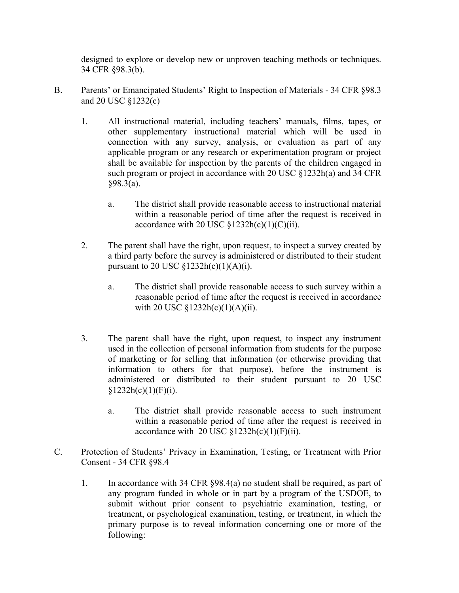designed to explore or develop new or unproven teaching methods or techniques. 34 CFR §98.3(b).

- B. Parents' or Emancipated Students' Right to Inspection of Materials 34 CFR §98.3 and 20 USC §1232(c)
	- 1. All instructional material, including teachers' manuals, films, tapes, or other supplementary instructional material which will be used in connection with any survey, analysis, or evaluation as part of any applicable program or any research or experimentation program or project shall be available for inspection by the parents of the children engaged in such program or project in accordance with 20 USC §1232h(a) and 34 CFR §98.3(a).
		- a. The district shall provide reasonable access to instructional material within a reasonable period of time after the request is received in accordance with 20 USC  $\S 1232h(c)(1)(C)(ii)$ .
	- 2. The parent shall have the right, upon request, to inspect a survey created by a third party before the survey is administered or distributed to their student pursuant to 20 USC  $\S 1232h(c)(1)(A)(i)$ .
		- a. The district shall provide reasonable access to such survey within a reasonable period of time after the request is received in accordance with 20 USC  $$1232h(c)(1)(A)(ii)$ .
	- 3. The parent shall have the right, upon request, to inspect any instrument used in the collection of personal information from students for the purpose of marketing or for selling that information (or otherwise providing that information to others for that purpose), before the instrument is administered or distributed to their student pursuant to 20 USC  $§1232h(c)(1)(F)(i).$ 
		- a. The district shall provide reasonable access to such instrument within a reasonable period of time after the request is received in accordance with 20 USC  $\S 1232h(c)(1)(F)(ii)$ .
- C. Protection of Students' Privacy in Examination, Testing, or Treatment with Prior Consent - 34 CFR §98.4
	- 1. In accordance with 34 CFR §98.4(a) no student shall be required, as part of any program funded in whole or in part by a program of the USDOE, to submit without prior consent to psychiatric examination, testing, or treatment, or psychological examination, testing, or treatment, in which the primary purpose is to reveal information concerning one or more of the following: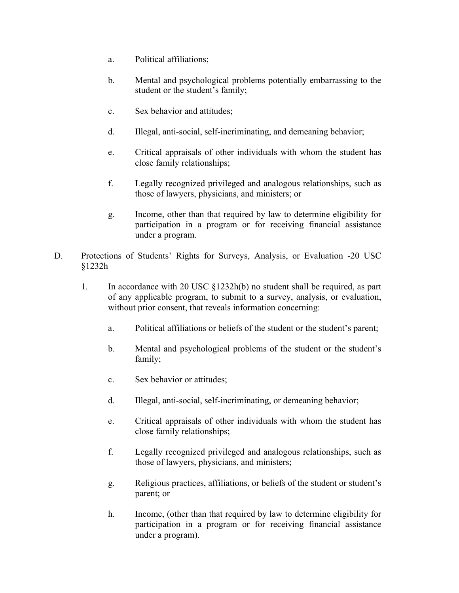- a. Political affiliations;
- b. Mental and psychological problems potentially embarrassing to the student or the student's family;
- c. Sex behavior and attitudes;
- d. Illegal, anti-social, self-incriminating, and demeaning behavior;
- e. Critical appraisals of other individuals with whom the student has close family relationships;
- f. Legally recognized privileged and analogous relationships, such as those of lawyers, physicians, and ministers; or
- g. Income, other than that required by law to determine eligibility for participation in a program or for receiving financial assistance under a program.
- D. Protections of Students' Rights for Surveys, Analysis, or Evaluation -20 USC §1232h
	- 1. In accordance with 20 USC §1232h(b) no student shall be required, as part of any applicable program, to submit to a survey, analysis, or evaluation, without prior consent, that reveals information concerning:
		- a. Political affiliations or beliefs of the student or the student's parent;
		- b. Mental and psychological problems of the student or the student's family;
		- c. Sex behavior or attitudes;
		- d. Illegal, anti-social, self-incriminating, or demeaning behavior;
		- e. Critical appraisals of other individuals with whom the student has close family relationships;
		- f. Legally recognized privileged and analogous relationships, such as those of lawyers, physicians, and ministers;
		- g. Religious practices, affiliations, or beliefs of the student or student's parent; or
		- h. Income, (other than that required by law to determine eligibility for participation in a program or for receiving financial assistance under a program).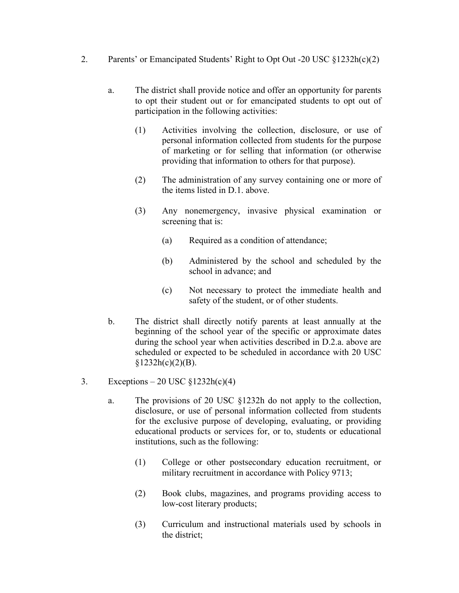- 2. Parents' or Emancipated Students' Right to Opt Out -20 USC §1232h(c)(2)
	- a. The district shall provide notice and offer an opportunity for parents to opt their student out or for emancipated students to opt out of participation in the following activities:
		- (1) Activities involving the collection, disclosure, or use of personal information collected from students for the purpose of marketing or for selling that information (or otherwise providing that information to others for that purpose).
		- (2) The administration of any survey containing one or more of the items listed in D.1. above.
		- (3) Any nonemergency, invasive physical examination or screening that is:
			- (a) Required as a condition of attendance;
			- (b) Administered by the school and scheduled by the school in advance; and
			- (c) Not necessary to protect the immediate health and safety of the student, or of other students.
	- b. The district shall directly notify parents at least annually at the beginning of the school year of the specific or approximate dates during the school year when activities described in D.2.a. above are scheduled or expected to be scheduled in accordance with 20 USC  $$1232h(c)(2)(B).$
- 3. Exceptions 20 USC  $\S 1232h(c)(4)$ 
	- a. The provisions of 20 USC §1232h do not apply to the collection, disclosure, or use of personal information collected from students for the exclusive purpose of developing, evaluating, or providing educational products or services for, or to, students or educational institutions, such as the following:
		- (1) College or other postsecondary education recruitment, or military recruitment in accordance with Policy 9713;
		- (2) Book clubs, magazines, and programs providing access to low-cost literary products;
		- (3) Curriculum and instructional materials used by schools in the district;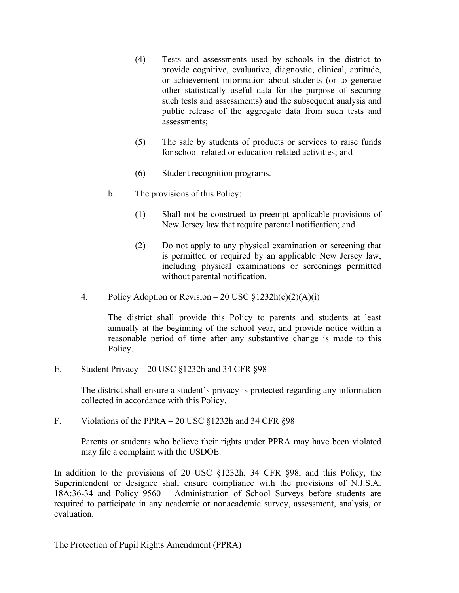- (4) Tests and assessments used by schools in the district to provide cognitive, evaluative, diagnostic, clinical, aptitude, or achievement information about students (or to generate other statistically useful data for the purpose of securing such tests and assessments) and the subsequent analysis and public release of the aggregate data from such tests and assessments;
- (5) The sale by students of products or services to raise funds for school-related or education-related activities; and
- (6) Student recognition programs.
- b. The provisions of this Policy:
	- (1) Shall not be construed to preempt applicable provisions of New Jersey law that require parental notification; and
	- (2) Do not apply to any physical examination or screening that is permitted or required by an applicable New Jersey law, including physical examinations or screenings permitted without parental notification.
- 4. Policy Adoption or Revision 20 USC  $\frac{\S}{2}$  1232h(c)(2)(A)(i)

The district shall provide this Policy to parents and students at least annually at the beginning of the school year, and provide notice within a reasonable period of time after any substantive change is made to this Policy.

E. Student Privacy – 20 USC §1232h and 34 CFR §98

The district shall ensure a student's privacy is protected regarding any information collected in accordance with this Policy.

F. Violations of the PPRA – 20 USC §1232h and 34 CFR §98

Parents or students who believe their rights under PPRA may have been violated may file a complaint with the USDOE.

In addition to the provisions of 20 USC §1232h, 34 CFR §98, and this Policy, the Superintendent or designee shall ensure compliance with the provisions of N.J.S.A. 18A:36-34 and Policy 9560 – Administration of School Surveys before students are required to participate in any academic or nonacademic survey, assessment, analysis, or evaluation.